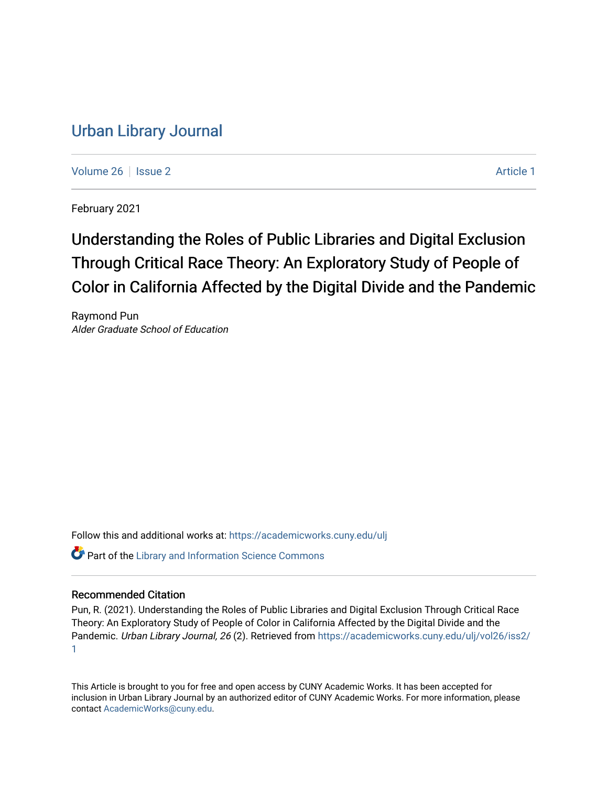# [Urban Library Journal](https://academicworks.cuny.edu/ulj)

[Volume 26](https://academicworks.cuny.edu/ulj/vol26) | [Issue 2](https://academicworks.cuny.edu/ulj/vol26/iss2) Article 1

February 2021

# Understanding the Roles of Public Libraries and Digital Exclusion Through Critical Race Theory: An Exploratory Study of People of Color in California Affected by the Digital Divide and the Pandemic

Raymond Pun Alder Graduate School of Education

Follow this and additional works at: [https://academicworks.cuny.edu/ulj](https://academicworks.cuny.edu/ulj?utm_source=academicworks.cuny.edu%2Fulj%2Fvol26%2Fiss2%2F1&utm_medium=PDF&utm_campaign=PDFCoverPages)

Part of the [Library and Information Science Commons](http://network.bepress.com/hgg/discipline/1018?utm_source=academicworks.cuny.edu%2Fulj%2Fvol26%2Fiss2%2F1&utm_medium=PDF&utm_campaign=PDFCoverPages) 

#### Recommended Citation

Pun, R. (2021). Understanding the Roles of Public Libraries and Digital Exclusion Through Critical Race Theory: An Exploratory Study of People of Color in California Affected by the Digital Divide and the Pandemic. Urban Library Journal, 26 (2). Retrieved from [https://academicworks.cuny.edu/ulj/vol26/iss2/](https://academicworks.cuny.edu/ulj/vol26/iss2/1?utm_source=academicworks.cuny.edu%2Fulj%2Fvol26%2Fiss2%2F1&utm_medium=PDF&utm_campaign=PDFCoverPages) [1](https://academicworks.cuny.edu/ulj/vol26/iss2/1?utm_source=academicworks.cuny.edu%2Fulj%2Fvol26%2Fiss2%2F1&utm_medium=PDF&utm_campaign=PDFCoverPages) 

This Article is brought to you for free and open access by CUNY Academic Works. It has been accepted for inclusion in Urban Library Journal by an authorized editor of CUNY Academic Works. For more information, please contact [AcademicWorks@cuny.edu.](mailto:AcademicWorks@cuny.edu)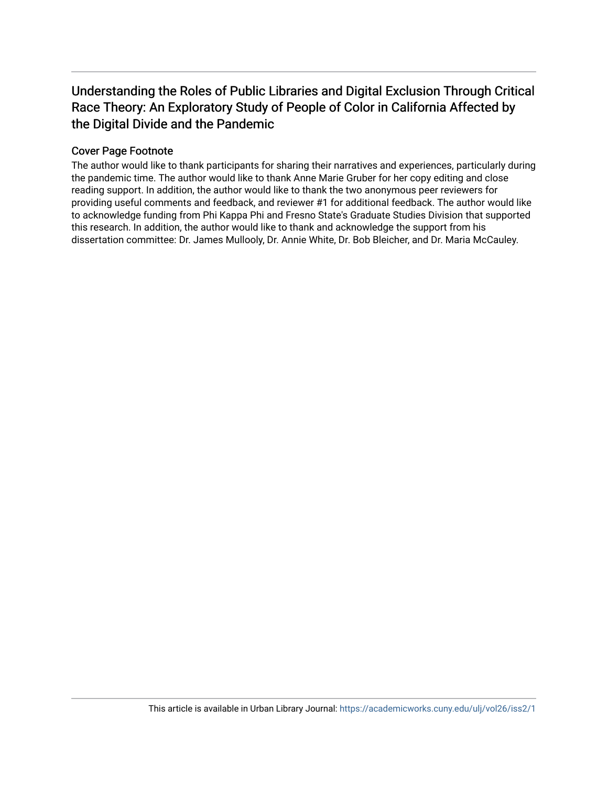## Understanding the Roles of Public Libraries and Digital Exclusion Through Critical Race Theory: An Exploratory Study of People of Color in California Affected by the Digital Divide and the Pandemic

#### Cover Page Footnote

The author would like to thank participants for sharing their narratives and experiences, particularly during the pandemic time. The author would like to thank Anne Marie Gruber for her copy editing and close reading support. In addition, the author would like to thank the two anonymous peer reviewers for providing useful comments and feedback, and reviewer #1 for additional feedback. The author would like to acknowledge funding from Phi Kappa Phi and Fresno State's Graduate Studies Division that supported this research. In addition, the author would like to thank and acknowledge the support from his dissertation committee: Dr. James Mullooly, Dr. Annie White, Dr. Bob Bleicher, and Dr. Maria McCauley.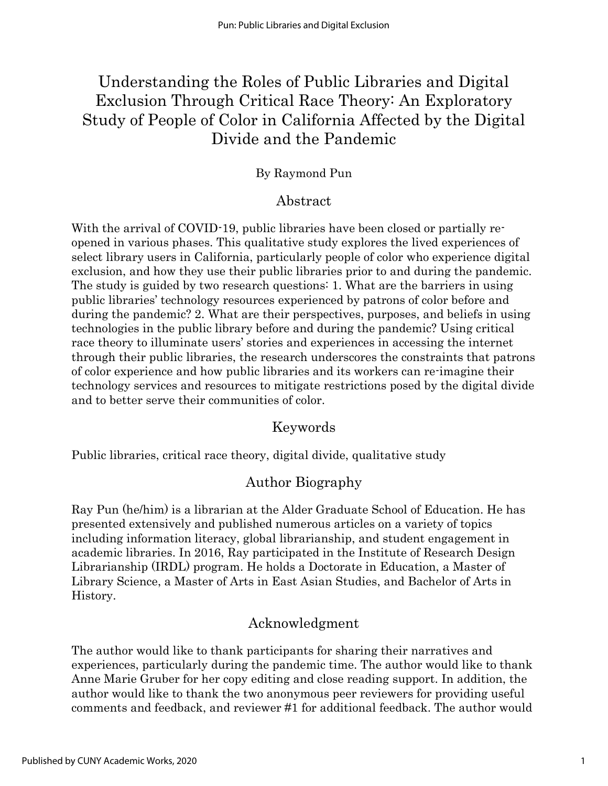# Understanding the Roles of Public Libraries and Digital Exclusion Through Critical Race Theory: An Exploratory Study of People of Color in California Affected by the Digital Divide and the Pandemic

#### By Raymond Pun

## Abstract

With the arrival of COVID-19, public libraries have been closed or partially reopened in various phases. This qualitative study explores the lived experiences of select library users in California, particularly people of color who experience digital exclusion, and how they use their public libraries prior to and during the pandemic. The study is guided by two research questions: 1. What are the barriers in using public libraries' technology resources experienced by patrons of color before and during the pandemic? 2. What are their perspectives, purposes, and beliefs in using technologies in the public library before and during the pandemic? Using critical race theory to illuminate users' stories and experiences in accessing the internet through their public libraries, the research underscores the constraints that patrons of color experience and how public libraries and its workers can re-imagine their technology services and resources to mitigate restrictions posed by the digital divide and to better serve their communities of color.

# Keywords

Public libraries, critical race theory, digital divide, qualitative study

# Author Biography

Ray Pun (he/him) is a librarian at the Alder Graduate School of Education. He has presented extensively and published numerous articles on a variety of topics including information literacy, global librarianship, and student engagement in academic libraries. In 2016, Ray participated in the Institute of Research Design Librarianship (IRDL) program. He holds a Doctorate in Education, a Master of Library Science, a Master of Arts in East Asian Studies, and Bachelor of Arts in History.

# Acknowledgment

The author would like to thank participants for sharing their narratives and experiences, particularly during the pandemic time. The author would like to thank Anne Marie Gruber for her copy editing and close reading support. In addition, the author would like to thank the two anonymous peer reviewers for providing useful comments and feedback, and reviewer #1 for additional feedback. The author would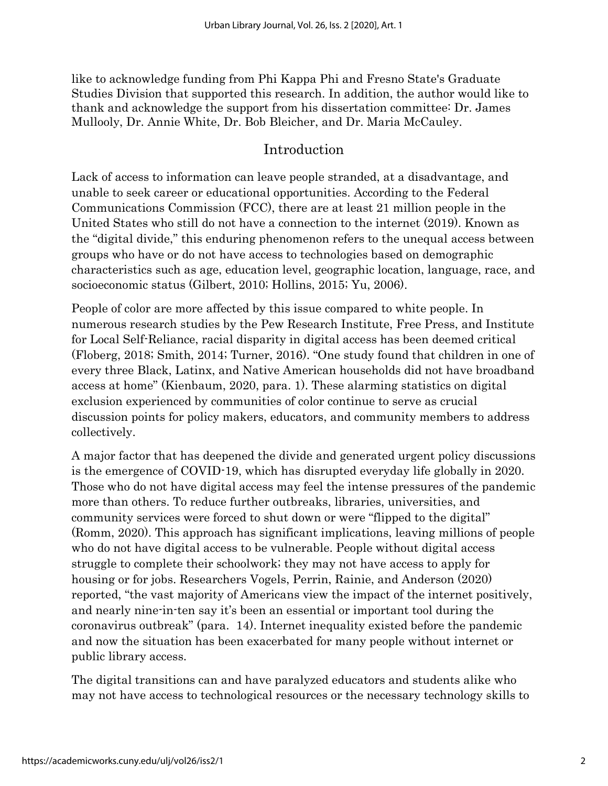like to acknowledge funding from Phi Kappa Phi and Fresno State's Graduate Studies Division that supported this research. In addition, the author would like to thank and acknowledge the support from his dissertation committee: Dr. James Mullooly, Dr. Annie White, Dr. Bob Bleicher, and Dr. Maria McCauley.

### Introduction

Lack of access to information can leave people stranded, at a disadvantage, and unable to seek career or educational opportunities. According to the Federal Communications Commission (FCC), there are at least 21 million people in the United States who still do not have a connection to the internet (2019). Known as the "digital divide," this enduring phenomenon refers to the unequal access between groups who have or do not have access to technologies based on demographic characteristics such as age, education level, geographic location, language, race, and socioeconomic status (Gilbert, 2010; Hollins, 2015; Yu, 2006).

People of color are more affected by this issue compared to white people. In numerous research studies by the Pew Research Institute, Free Press, and Institute for Local Self-Reliance, racial disparity in digital access has been deemed critical (Floberg, 2018; Smith, 2014; Turner, 2016). "One study found that children in one of every three Black, Latinx, and Native American households did not have broadband access at home" (Kienbaum, 2020, para. 1). These alarming statistics on digital exclusion experienced by communities of color continue to serve as crucial discussion points for policy makers, educators, and community members to address collectively.

A major factor that has deepened the divide and generated urgent policy discussions is the emergence of COVID-19, which has disrupted everyday life globally in 2020. Those who do not have digital access may feel the intense pressures of the pandemic more than others. To reduce further outbreaks, libraries, universities, and community services were forced to shut down or were "flipped to the digital" (Romm, 2020). This approach has significant implications, leaving millions of people who do not have digital access to be vulnerable. People without digital access struggle to complete their schoolwork; they may not have access to apply for housing or for jobs. Researchers Vogels, Perrin, Rainie, and Anderson (2020) reported, "the vast majority of Americans view the impact of the internet positively, and nearly nine-in-ten say it's been an essential or important tool during the coronavirus outbreak" (para. 14). Internet inequality existed before the pandemic and now the situation has been exacerbated for many people without internet or public library access.

The digital transitions can and have paralyzed educators and students alike who may not have access to technological resources or the necessary technology skills to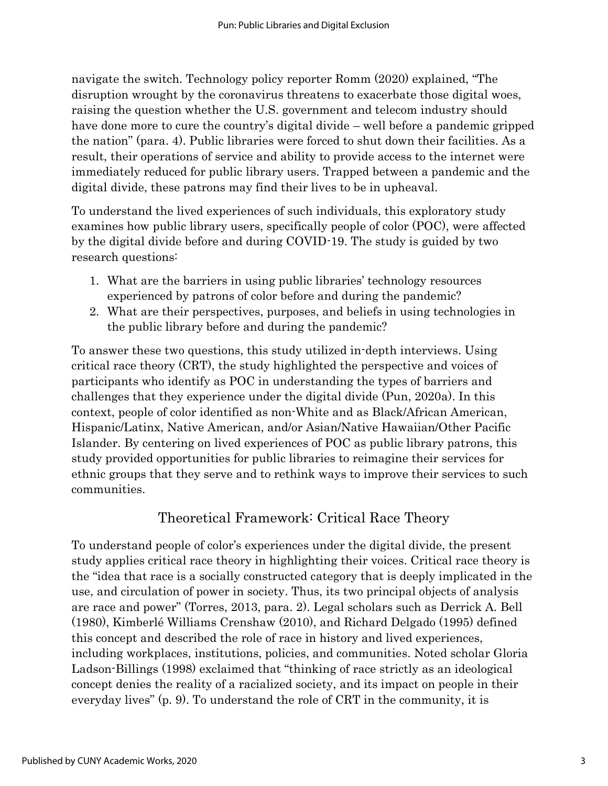navigate the switch. Technology policy reporter Romm (2020) explained, "The disruption wrought by the coronavirus threatens to exacerbate those digital woes, raising the question whether the U.S. government and telecom industry should have done more to cure the country's digital divide – well before a pandemic gripped the nation" (para. 4). Public libraries were forced to shut down their facilities. As a result, their operations of service and ability to provide access to the internet were immediately reduced for public library users. Trapped between a pandemic and the digital divide, these patrons may find their lives to be in upheaval.

To understand the lived experiences of such individuals, this exploratory study examines how public library users, specifically people of color (POC), were affected by the digital divide before and during COVID-19. The study is guided by two research questions:

- 1. What are the barriers in using public libraries' technology resources experienced by patrons of color before and during the pandemic?
- 2. What are their perspectives, purposes, and beliefs in using technologies in the public library before and during the pandemic?

To answer these two questions, this study utilized in-depth interviews. Using critical race theory (CRT), the study highlighted the perspective and voices of participants who identify as POC in understanding the types of barriers and challenges that they experience under the digital divide (Pun, 2020a). In this context, people of color identified as non-White and as Black/African American, Hispanic/Latinx, Native American, and/or Asian/Native Hawaiian/Other Pacific Islander. By centering on lived experiences of POC as public library patrons, this study provided opportunities for public libraries to reimagine their services for ethnic groups that they serve and to rethink ways to improve their services to such communities.

# Theoretical Framework: Critical Race Theory

To understand people of color's experiences under the digital divide, the present study applies critical race theory in highlighting their voices. Critical race theory is the "idea that race is a socially constructed category that is deeply implicated in the use, and circulation of power in society. Thus, its two principal objects of analysis are race and power" (Torres, 2013, para. 2). Legal scholars such as Derrick A. Bell (1980), Kimberlé Williams Crenshaw (2010), and Richard Delgado (1995) defined this concept and described the role of race in history and lived experiences, including workplaces, institutions, policies, and communities. Noted scholar Gloria Ladson-Billings (1998) exclaimed that "thinking of race strictly as an ideological concept denies the reality of a racialized society, and its impact on people in their everyday lives" (p. 9). To understand the role of CRT in the community, it is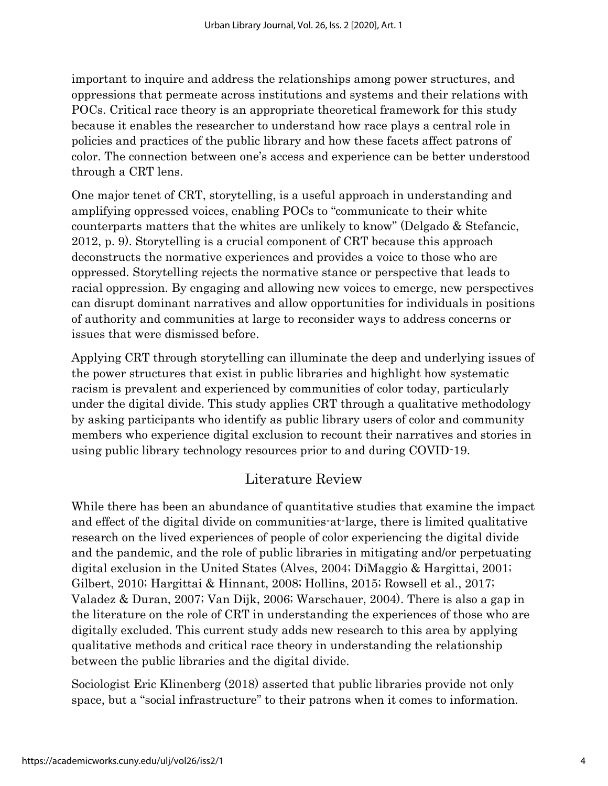important to inquire and address the relationships among power structures, and oppressions that permeate across institutions and systems and their relations with POCs. Critical race theory is an appropriate theoretical framework for this study because it enables the researcher to understand how race plays a central role in policies and practices of the public library and how these facets affect patrons of color. The connection between one's access and experience can be better understood through a CRT lens.

One major tenet of CRT, storytelling, is a useful approach in understanding and amplifying oppressed voices, enabling POCs to "communicate to their white counterparts matters that the whites are unlikely to know" (Delgado & Stefancic, 2012, p. 9). Storytelling is a crucial component of CRT because this approach deconstructs the normative experiences and provides a voice to those who are oppressed. Storytelling rejects the normative stance or perspective that leads to racial oppression. By engaging and allowing new voices to emerge, new perspectives can disrupt dominant narratives and allow opportunities for individuals in positions of authority and communities at large to reconsider ways to address concerns or issues that were dismissed before.

Applying CRT through storytelling can illuminate the deep and underlying issues of the power structures that exist in public libraries and highlight how systematic racism is prevalent and experienced by communities of color today, particularly under the digital divide. This study applies CRT through a qualitative methodology by asking participants who identify as public library users of color and community members who experience digital exclusion to recount their narratives and stories in using public library technology resources prior to and during COVID-19.

# Literature Review

While there has been an abundance of quantitative studies that examine the impact and effect of the digital divide on communities-at-large, there is limited qualitative research on the lived experiences of people of color experiencing the digital divide and the pandemic, and the role of public libraries in mitigating and/or perpetuating digital exclusion in the United States (Alves, 2004; DiMaggio & Hargittai, 2001; Gilbert, 2010; Hargittai & Hinnant, 2008; Hollins, 2015; Rowsell et al., 2017; Valadez & Duran, 2007; Van Dijk, 2006; Warschauer, 2004). There is also a gap in the literature on the role of CRT in understanding the experiences of those who are digitally excluded. This current study adds new research to this area by applying qualitative methods and critical race theory in understanding the relationship between the public libraries and the digital divide.

Sociologist Eric Klinenberg (2018) asserted that public libraries provide not only space, but a "social infrastructure" to their patrons when it comes to information.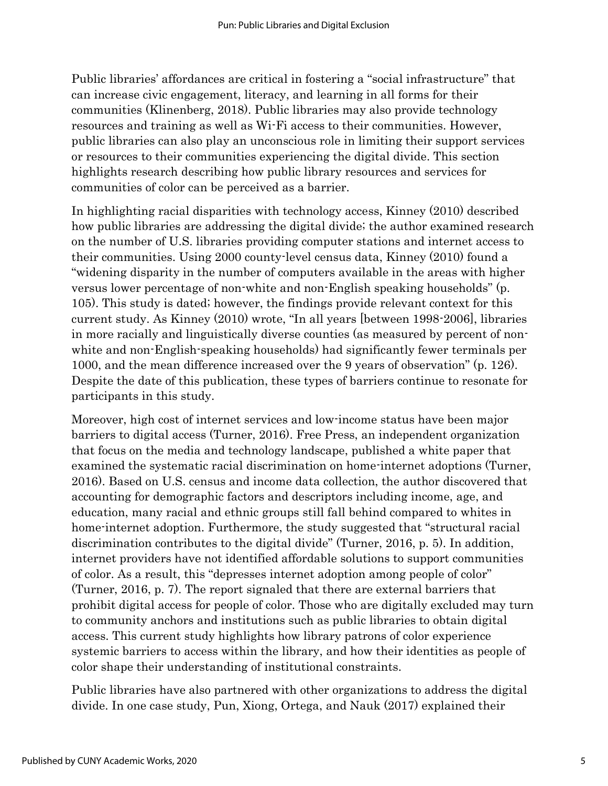Public libraries' affordances are critical in fostering a "social infrastructure" that can increase civic engagement, literacy, and learning in all forms for their communities (Klinenberg, 2018). Public libraries may also provide technology resources and training as well as Wi-Fi access to their communities. However, public libraries can also play an unconscious role in limiting their support services or resources to their communities experiencing the digital divide. This section highlights research describing how public library resources and services for communities of color can be perceived as a barrier.

In highlighting racial disparities with technology access, Kinney (2010) described how public libraries are addressing the digital divide; the author examined research on the number of U.S. libraries providing computer stations and internet access to their communities. Using 2000 county-level census data, Kinney (2010) found a "widening disparity in the number of computers available in the areas with higher versus lower percentage of non-white and non-English speaking households" (p. 105). This study is dated; however, the findings provide relevant context for this current study. As Kinney (2010) wrote, "In all years [between 1998-2006], libraries in more racially and linguistically diverse counties (as measured by percent of nonwhite and non-English-speaking households) had significantly fewer terminals per 1000, and the mean difference increased over the 9 years of observation" (p. 126). Despite the date of this publication, these types of barriers continue to resonate for participants in this study.

Moreover, high cost of internet services and low-income status have been major barriers to digital access (Turner, 2016). Free Press, an independent organization that focus on the media and technology landscape, published a white paper that examined the systematic racial discrimination on home-internet adoptions (Turner, 2016). Based on U.S. census and income data collection, the author discovered that accounting for demographic factors and descriptors including income, age, and education, many racial and ethnic groups still fall behind compared to whites in home-internet adoption. Furthermore, the study suggested that "structural racial discrimination contributes to the digital divide" (Turner, 2016, p. 5). In addition, internet providers have not identified affordable solutions to support communities of color. As a result, this "depresses internet adoption among people of color" (Turner, 2016, p. 7). The report signaled that there are external barriers that prohibit digital access for people of color. Those who are digitally excluded may turn to community anchors and institutions such as public libraries to obtain digital access. This current study highlights how library patrons of color experience systemic barriers to access within the library, and how their identities as people of color shape their understanding of institutional constraints.

Public libraries have also partnered with other organizations to address the digital divide. In one case study, Pun, Xiong, Ortega, and Nauk (2017) explained their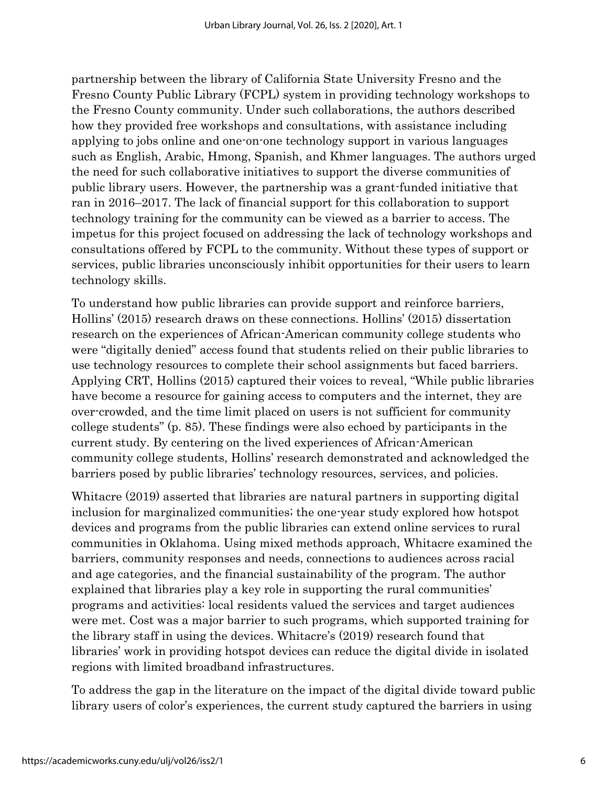partnership between the library of California State University Fresno and the Fresno County Public Library (FCPL) system in providing technology workshops to the Fresno County community. Under such collaborations, the authors described how they provided free workshops and consultations, with assistance including applying to jobs online and one-on-one technology support in various languages such as English, Arabic, Hmong, Spanish, and Khmer languages. The authors urged the need for such collaborative initiatives to support the diverse communities of public library users. However, the partnership was a grant-funded initiative that ran in 2016–2017. The lack of financial support for this collaboration to support technology training for the community can be viewed as a barrier to access. The impetus for this project focused on addressing the lack of technology workshops and consultations offered by FCPL to the community. Without these types of support or services, public libraries unconsciously inhibit opportunities for their users to learn technology skills.

To understand how public libraries can provide support and reinforce barriers, Hollins' (2015) research draws on these connections. Hollins' (2015) dissertation research on the experiences of African-American community college students who were "digitally denied" access found that students relied on their public libraries to use technology resources to complete their school assignments but faced barriers. Applying CRT, Hollins (2015) captured their voices to reveal, "While public libraries have become a resource for gaining access to computers and the internet, they are over-crowded, and the time limit placed on users is not sufficient for community college students" (p. 85). These findings were also echoed by participants in the current study. By centering on the lived experiences of African-American community college students, Hollins' research demonstrated and acknowledged the barriers posed by public libraries' technology resources, services, and policies.

Whitacre (2019) asserted that libraries are natural partners in supporting digital inclusion for marginalized communities; the one-year study explored how hotspot devices and programs from the public libraries can extend online services to rural communities in Oklahoma. Using mixed methods approach, Whitacre examined the barriers, community responses and needs, connections to audiences across racial and age categories, and the financial sustainability of the program. The author explained that libraries play a key role in supporting the rural communities' programs and activities: local residents valued the services and target audiences were met. Cost was a major barrier to such programs, which supported training for the library staff in using the devices. Whitacre's (2019) research found that libraries' work in providing hotspot devices can reduce the digital divide in isolated regions with limited broadband infrastructures.

To address the gap in the literature on the impact of the digital divide toward public library users of color's experiences, the current study captured the barriers in using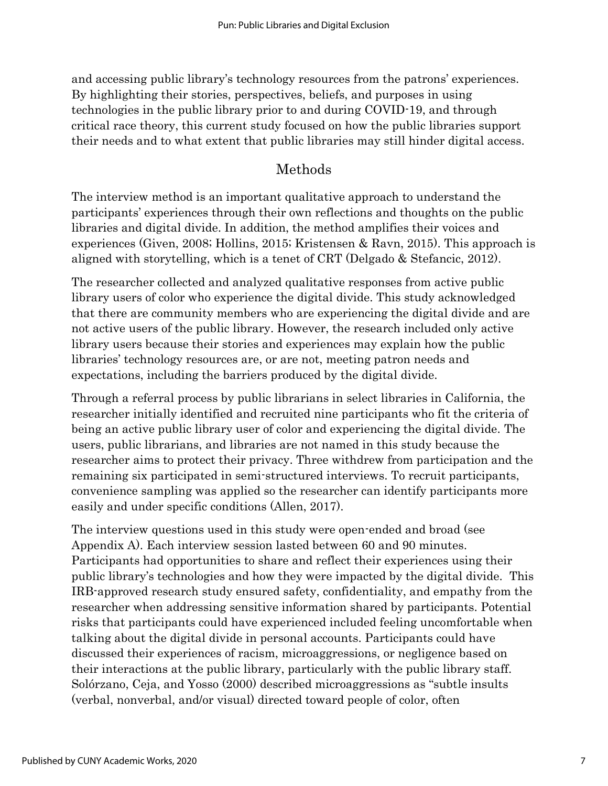and accessing public library's technology resources from the patrons' experiences. By highlighting their stories, perspectives, beliefs, and purposes in using technologies in the public library prior to and during COVID-19, and through critical race theory, this current study focused on how the public libraries support their needs and to what extent that public libraries may still hinder digital access.

#### Methods

The interview method is an important qualitative approach to understand the participants' experiences through their own reflections and thoughts on the public libraries and digital divide. In addition, the method amplifies their voices and experiences (Given, 2008; Hollins, 2015; Kristensen & Ravn, 2015). This approach is aligned with storytelling, which is a tenet of CRT (Delgado & Stefancic, 2012).

The researcher collected and analyzed qualitative responses from active public library users of color who experience the digital divide. This study acknowledged that there are community members who are experiencing the digital divide and are not active users of the public library. However, the research included only active library users because their stories and experiences may explain how the public libraries' technology resources are, or are not, meeting patron needs and expectations, including the barriers produced by the digital divide.

Through a referral process by public librarians in select libraries in California, the researcher initially identified and recruited nine participants who fit the criteria of being an active public library user of color and experiencing the digital divide. The users, public librarians, and libraries are not named in this study because the researcher aims to protect their privacy. Three withdrew from participation and the remaining six participated in semi-structured interviews. To recruit participants, convenience sampling was applied so the researcher can identify participants more easily and under specific conditions (Allen, 2017).

The interview questions used in this study were open-ended and broad (see Appendix A). Each interview session lasted between 60 and 90 minutes. Participants had opportunities to share and reflect their experiences using their public library's technologies and how they were impacted by the digital divide. This IRB-approved research study ensured safety, confidentiality, and empathy from the researcher when addressing sensitive information shared by participants. Potential risks that participants could have experienced included feeling uncomfortable when talking about the digital divide in personal accounts. Participants could have discussed their experiences of racism, microaggressions, or negligence based on their interactions at the public library, particularly with the public library staff. Solórzano, Ceja, and Yosso (2000) described microaggressions as "subtle insults (verbal, nonverbal, and/or visual) directed toward people of color, often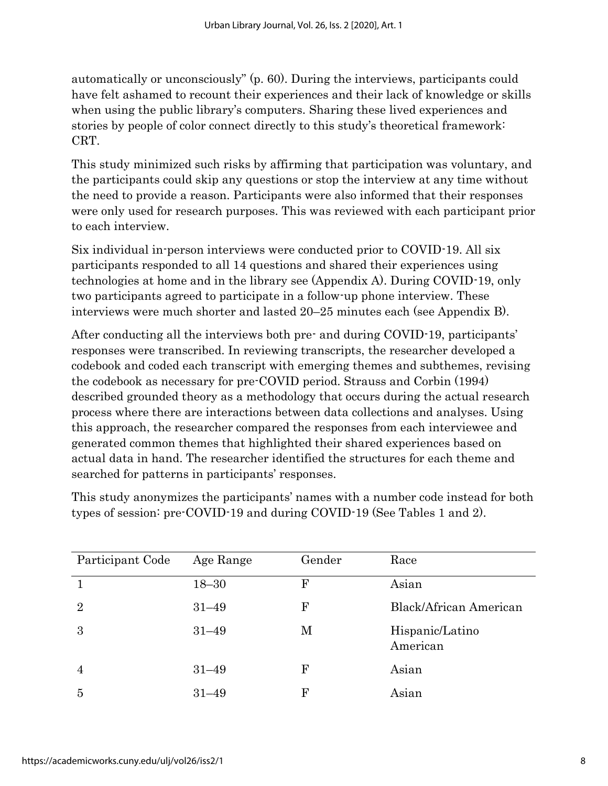automatically or unconsciously" (p. 60). During the interviews, participants could have felt ashamed to recount their experiences and their lack of knowledge or skills when using the public library's computers. Sharing these lived experiences and stories by people of color connect directly to this study's theoretical framework: CRT.

This study minimized such risks by affirming that participation was voluntary, and the participants could skip any questions or stop the interview at any time without the need to provide a reason. Participants were also informed that their responses were only used for research purposes. This was reviewed with each participant prior to each interview.

Six individual in-person interviews were conducted prior to COVID-19. All six participants responded to all 14 questions and shared their experiences using technologies at home and in the library see (Appendix A). During COVID-19, only two participants agreed to participate in a follow-up phone interview. These interviews were much shorter and lasted 20–25 minutes each (see Appendix B).

After conducting all the interviews both pre- and during COVID-19, participants' responses were transcribed. In reviewing transcripts, the researcher developed a codebook and coded each transcript with emerging themes and subthemes, revising the codebook as necessary for pre-COVID period. Strauss and Corbin (1994) described grounded theory as a methodology that occurs during the actual research process where there are interactions between data collections and analyses. Using this approach, the researcher compared the responses from each interviewee and generated common themes that highlighted their shared experiences based on actual data in hand. The researcher identified the structures for each theme and searched for patterns in participants' responses.

This study anonymizes the participants' names with a number code instead for both types of session: pre-COVID-19 and during COVID-19 (See Tables 1 and 2).

| Participant Code | Age Range | Gender | Race                        |
|------------------|-----------|--------|-----------------------------|
|                  | $18 - 30$ | F      | Asian                       |
| $\overline{2}$   | $31 - 49$ | F      | Black/African American      |
| 3                | $31 - 49$ | М      | Hispanic/Latino<br>American |
| $\overline{4}$   | $31 - 49$ | F      | Asian                       |
| 5                | $31 - 49$ | F      | Asian                       |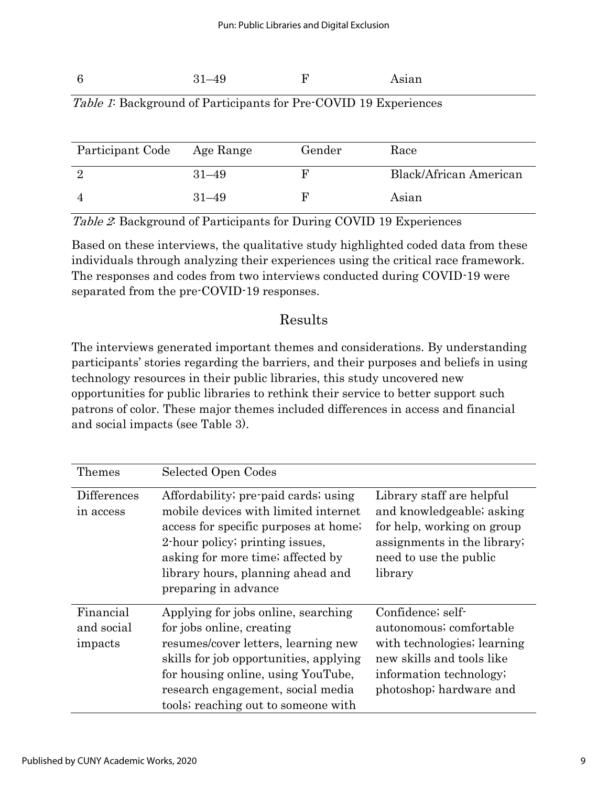#### 6 31–49 F Asian

#### Table 1: Background of Participants for Pre-COVID 19 Experiences

| Participant Code | Age Range | Gender | Race                   |
|------------------|-----------|--------|------------------------|
|                  | $31 - 49$ |        | Black/African American |
|                  | $31 - 49$ |        | Asian                  |

Table 2: Background of Participants for During COVID 19 Experiences

Based on these interviews, the qualitative study highlighted coded data from these individuals through analyzing their experiences using the critical race framework. The responses and codes from two interviews conducted during COVID-19 were separated from the pre-COVID-19 responses.

#### Results

The interviews generated important themes and considerations. By understanding participants' stories regarding the barriers, and their purposes and beliefs in using technology resources in their public libraries, this study uncovered new opportunities for public libraries to rethink their service to better support such patrons of color. These major themes included differences in access and financial and social impacts (see Table 3).

| Themes                             | Selected Open Codes                                                                                                                                                                                                                                                  |                                                                                                                                                                |
|------------------------------------|----------------------------------------------------------------------------------------------------------------------------------------------------------------------------------------------------------------------------------------------------------------------|----------------------------------------------------------------------------------------------------------------------------------------------------------------|
| Differences<br>in access           | Affordability; pre-paid cards; using<br>mobile devices with limited internet<br>access for specific purposes at home;<br>2-hour policy; printing issues,<br>asking for more time; affected by<br>library hours, planning ahead and<br>preparing in advance           | Library staff are helpful<br>and knowledgeable; asking<br>for help, working on group<br>assignments in the library;<br>need to use the public<br>library       |
| Financial<br>and social<br>impacts | Applying for jobs online, searching<br>for jobs online, creating<br>resumes/cover letters, learning new<br>skills for job opportunities, applying<br>for housing online, using YouTube,<br>research engagement, social media<br>tools; reaching out to some one with | Confidence; self-<br>autonomous; comfortable<br>with technologies; learning<br>new skills and tools like<br>information technology;<br>photoshop; hardware and |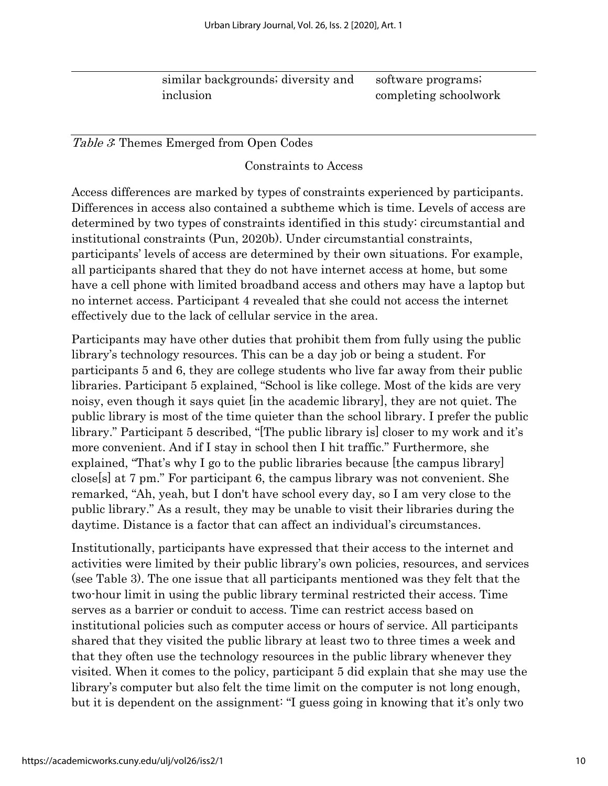similar backgrounds; diversity and inclusion software programs; completing schoolwork

Table 3: Themes Emerged from Open Codes

Constraints to Access

Access differences are marked by types of constraints experienced by participants. Differences in access also contained a subtheme which is time. Levels of access are determined by two types of constraints identified in this study: circumstantial and institutional constraints (Pun, 2020b). Under circumstantial constraints, participants' levels of access are determined by their own situations. For example, all participants shared that they do not have internet access at home, but some have a cell phone with limited broadband access and others may have a laptop but no internet access. Participant 4 revealed that she could not access the internet effectively due to the lack of cellular service in the area.

Participants may have other duties that prohibit them from fully using the public library's technology resources. This can be a day job or being a student. For participants 5 and 6, they are college students who live far away from their public libraries. Participant 5 explained, "School is like college. Most of the kids are very noisy, even though it says quiet [in the academic library], they are not quiet. The public library is most of the time quieter than the school library. I prefer the public library." Participant 5 described, "[The public library is] closer to my work and it's more convenient. And if I stay in school then I hit traffic." Furthermore, she explained, "That's why I go to the public libraries because [the campus library] close[s] at 7 pm." For participant 6, the campus library was not convenient. She remarked, "Ah, yeah, but I don't have school every day, so I am very close to the public library." As a result, they may be unable to visit their libraries during the daytime. Distance is a factor that can affect an individual's circumstances.

Institutionally, participants have expressed that their access to the internet and activities were limited by their public library's own policies, resources, and services (see Table 3). The one issue that all participants mentioned was they felt that the two-hour limit in using the public library terminal restricted their access. Time serves as a barrier or conduit to access. Time can restrict access based on institutional policies such as computer access or hours of service. All participants shared that they visited the public library at least two to three times a week and that they often use the technology resources in the public library whenever they visited. When it comes to the policy, participant 5 did explain that she may use the library's computer but also felt the time limit on the computer is not long enough, but it is dependent on the assignment: "I guess going in knowing that it's only two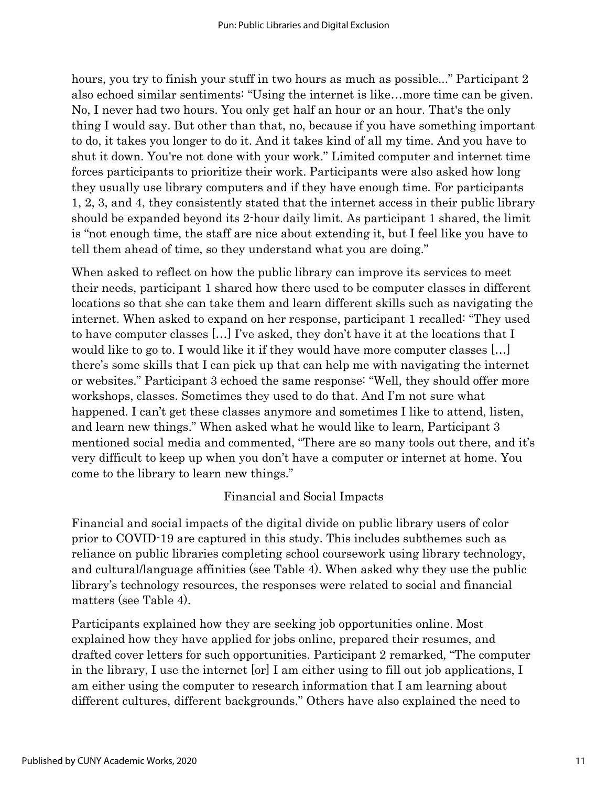hours, you try to finish your stuff in two hours as much as possible..." Participant 2 also echoed similar sentiments: "Using the internet is like…more time can be given. No, I never had two hours. You only get half an hour or an hour. That's the only thing I would say. But other than that, no, because if you have something important to do, it takes you longer to do it. And it takes kind of all my time. And you have to shut it down. You're not done with your work." Limited computer and internet time forces participants to prioritize their work. Participants were also asked how long they usually use library computers and if they have enough time. For participants 1, 2, 3, and 4, they consistently stated that the internet access in their public library should be expanded beyond its 2-hour daily limit. As participant 1 shared, the limit is "not enough time, the staff are nice about extending it, but I feel like you have to tell them ahead of time, so they understand what you are doing."

When asked to reflect on how the public library can improve its services to meet their needs, participant 1 shared how there used to be computer classes in different locations so that she can take them and learn different skills such as navigating the internet. When asked to expand on her response, participant 1 recalled: "They used to have computer classes […] I've asked, they don't have it at the locations that I would like to go to. I would like it if they would have more computer classes […] there's some skills that I can pick up that can help me with navigating the internet or websites." Participant 3 echoed the same response: "Well, they should offer more workshops, classes. Sometimes they used to do that. And I'm not sure what happened. I can't get these classes anymore and sometimes I like to attend, listen, and learn new things." When asked what he would like to learn, Participant 3 mentioned social media and commented, "There are so many tools out there, and it's very difficult to keep up when you don't have a computer or internet at home. You come to the library to learn new things."

#### Financial and Social Impacts

Financial and social impacts of the digital divide on public library users of color prior to COVID-19 are captured in this study. This includes subthemes such as reliance on public libraries completing school coursework using library technology, and cultural/language affinities (see Table 4). When asked why they use the public library's technology resources, the responses were related to social and financial matters (see Table 4).

Participants explained how they are seeking job opportunities online. Most explained how they have applied for jobs online, prepared their resumes, and drafted cover letters for such opportunities. Participant 2 remarked, "The computer in the library, I use the internet [or] I am either using to fill out job applications, I am either using the computer to research information that I am learning about different cultures, different backgrounds." Others have also explained the need to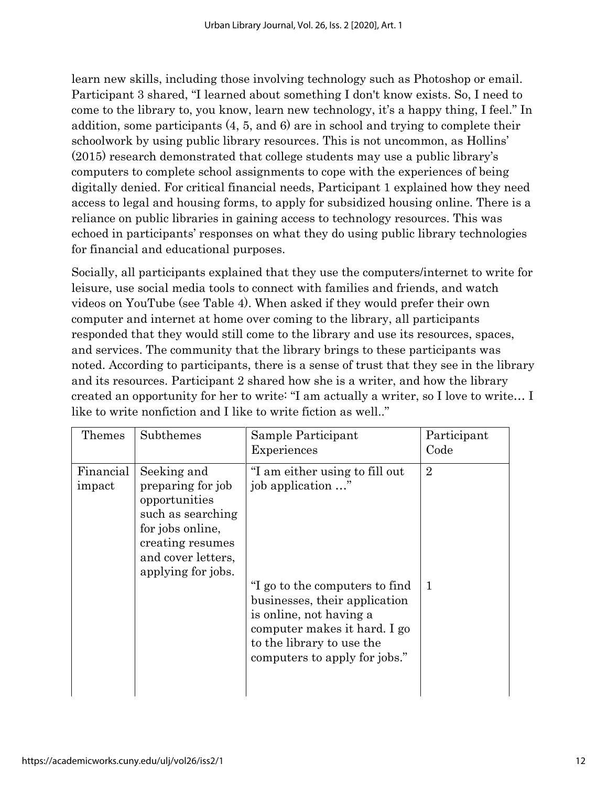learn new skills, including those involving technology such as Photoshop or email. Participant 3 shared, "I learned about something I don't know exists. So, I need to come to the library to, you know, learn new technology, it's a happy thing, I feel." In addition, some participants (4, 5, and 6) are in school and trying to complete their schoolwork by using public library resources. This is not uncommon, as Hollins' (2015) research demonstrated that college students may use a public library's computers to complete school assignments to cope with the experiences of being digitally denied. For critical financial needs, Participant 1 explained how they need access to legal and housing forms, to apply for subsidized housing online. There is a reliance on public libraries in gaining access to technology resources. This was echoed in participants' responses on what they do using public library technologies for financial and educational purposes.

Socially, all participants explained that they use the computers/internet to write for leisure, use social media tools to connect with families and friends, and watch videos on YouTube (see Table 4). When asked if they would prefer their own computer and internet at home over coming to the library, all participants responded that they would still come to the library and use its resources, spaces, and services. The community that the library brings to these participants was noted. According to participants, there is a sense of trust that they see in the library and its resources. Participant 2 shared how she is a writer, and how the library created an opportunity for her to write: "I am actually a writer, so I love to write… I like to write nonfiction and I like to write fiction as well.."

| <b>Themes</b>       | Subthemes                                                                                                                                                  | Sample Participant<br>Experiences                                                                                                                                                                                                               | Participant<br>Code            |
|---------------------|------------------------------------------------------------------------------------------------------------------------------------------------------------|-------------------------------------------------------------------------------------------------------------------------------------------------------------------------------------------------------------------------------------------------|--------------------------------|
| Financial<br>impact | Seeking and<br>preparing for job<br>opportunities<br>such as searching<br>for jobs online,<br>creating resumes<br>and cover letters,<br>applying for jobs. | "I am either using to fill out<br>job application "<br>"I go to the computers to find<br>businesses, their application<br>is online, not having a<br>computer makes it hard. I go<br>to the library to use the<br>computers to apply for jobs." | $\overline{2}$<br>$\mathbf{1}$ |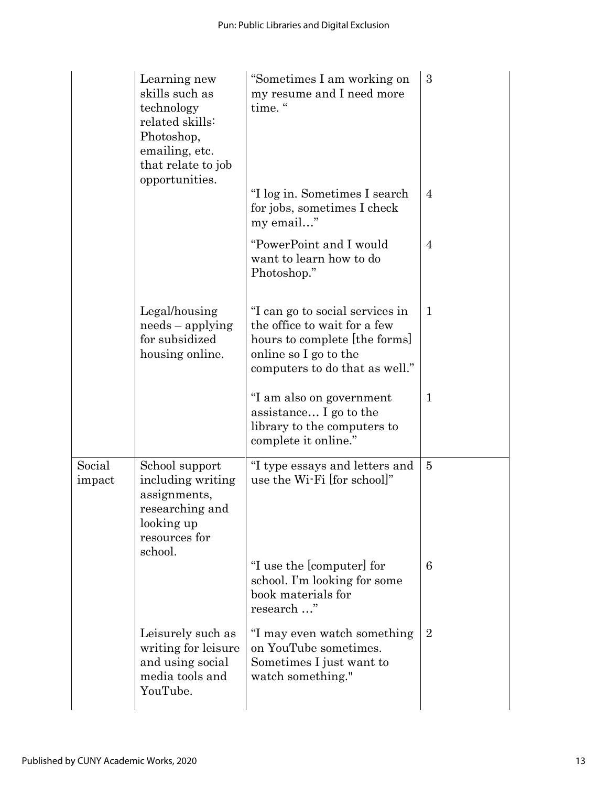|                  | Learning new<br>skills such as<br>technology<br>related skills:<br>Photoshop,<br>emailing, etc.<br>that relate to job | "Sometimes I am working on<br>my resume and I need more<br>time."                                                                                           | 3              |
|------------------|-----------------------------------------------------------------------------------------------------------------------|-------------------------------------------------------------------------------------------------------------------------------------------------------------|----------------|
|                  | opportunities.                                                                                                        | "I log in. Sometimes I search<br>for jobs, sometimes I check<br>my email"                                                                                   | $\overline{4}$ |
|                  |                                                                                                                       | "PowerPoint and I would<br>want to learn how to do<br>Photoshop."                                                                                           | $\overline{4}$ |
|                  | Legal/housing<br>$needs - applying$<br>for subsidized<br>housing online.                                              | "I can go to social services in<br>the office to wait for a few<br>hours to complete [the forms]<br>online so I go to the<br>computers to do that as well." | $\mathbf{1}$   |
|                  |                                                                                                                       | "I am also on government<br>assistance I go to the<br>library to the computers to<br>complete it online."                                                   | 1              |
| Social<br>impact | School support<br>including writing<br>assignments,<br>researching and<br>looking up<br>resources for<br>school.      | "I type essays and letters and<br>use the Wi-Fi [for school]"                                                                                               | 5              |
|                  |                                                                                                                       | "I use the [computer] for<br>school. I'm looking for some<br>book materials for<br>research "                                                               | 6              |
|                  | Leisurely such as<br>writing for leisure<br>and using social<br>media tools and<br>YouTube.                           | "I may even watch something<br>on YouTube sometimes.<br>Sometimes I just want to<br>watch something."                                                       | $\overline{2}$ |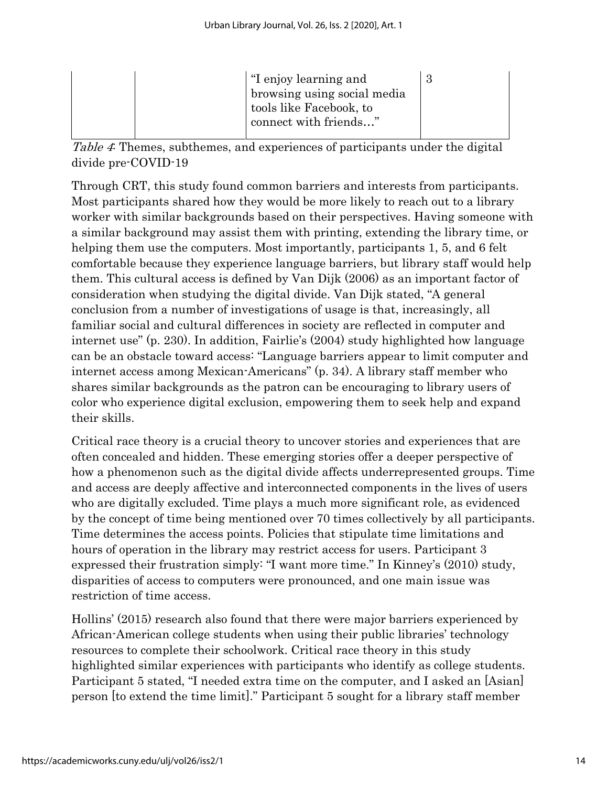|  | "I enjoy learning and       |  |
|--|-----------------------------|--|
|  | browsing using social media |  |
|  | tools like Facebook, to     |  |
|  | connect with friends"       |  |
|  |                             |  |

Table 4: Themes, subthemes, and experiences of participants under the digital divide pre-COVID-19

Through CRT, this study found common barriers and interests from participants. Most participants shared how they would be more likely to reach out to a library worker with similar backgrounds based on their perspectives. Having someone with a similar background may assist them with printing, extending the library time, or helping them use the computers. Most importantly, participants 1, 5, and 6 felt comfortable because they experience language barriers, but library staff would help them. This cultural access is defined by Van Dijk (2006) as an important factor of consideration when studying the digital divide. Van Dijk stated, "A general conclusion from a number of investigations of usage is that, increasingly, all familiar social and cultural differences in society are reflected in computer and internet use" (p. 230). In addition, Fairlie's (2004) study highlighted how language can be an obstacle toward access: "Language barriers appear to limit computer and internet access among Mexican-Americans" (p. 34). A library staff member who shares similar backgrounds as the patron can be encouraging to library users of color who experience digital exclusion, empowering them to seek help and expand their skills.

Critical race theory is a crucial theory to uncover stories and experiences that are often concealed and hidden. These emerging stories offer a deeper perspective of how a phenomenon such as the digital divide affects underrepresented groups. Time and access are deeply affective and interconnected components in the lives of users who are digitally excluded. Time plays a much more significant role, as evidenced by the concept of time being mentioned over 70 times collectively by all participants. Time determines the access points. Policies that stipulate time limitations and hours of operation in the library may restrict access for users. Participant 3 expressed their frustration simply: "I want more time." In Kinney's (2010) study, disparities of access to computers were pronounced, and one main issue was restriction of time access.

Hollins' (2015) research also found that there were major barriers experienced by African-American college students when using their public libraries' technology resources to complete their schoolwork. Critical race theory in this study highlighted similar experiences with participants who identify as college students. Participant 5 stated, "I needed extra time on the computer, and I asked an [Asian] person [to extend the time limit]." Participant 5 sought for a library staff member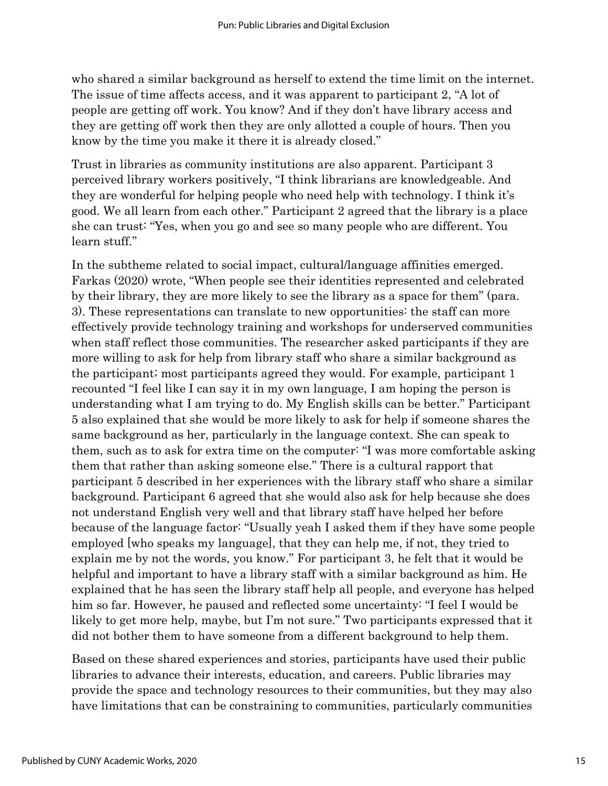who shared a similar background as herself to extend the time limit on the internet. The issue of time affects access, and it was apparent to participant 2, "A lot of people are getting off work. You know? And if they don't have library access and they are getting off work then they are only allotted a couple of hours. Then you know by the time you make it there it is already closed."

Trust in libraries as community institutions are also apparent. Participant 3 perceived library workers positively, "I think librarians are knowledgeable. And they are wonderful for helping people who need help with technology. I think it's good. We all learn from each other." Participant 2 agreed that the library is a place she can trust: "Yes, when you go and see so many people who are different. You learn stuff."

In the subtheme related to social impact, cultural/language affinities emerged. Farkas (2020) wrote, "When people see their identities represented and celebrated by their library, they are more likely to see the library as a space for them" (para. 3). These representations can translate to new opportunities: the staff can more effectively provide technology training and workshops for underserved communities when staff reflect those communities. The researcher asked participants if they are more willing to ask for help from library staff who share a similar background as the participant; most participants agreed they would. For example, participant 1 recounted "I feel like I can say it in my own language, I am hoping the person is understanding what I am trying to do. My English skills can be better." Participant 5 also explained that she would be more likely to ask for help if someone shares the same background as her, particularly in the language context. She can speak to them, such as to ask for extra time on the computer: "I was more comfortable asking them that rather than asking someone else." There is a cultural rapport that participant 5 described in her experiences with the library staff who share a similar background. Participant 6 agreed that she would also ask for help because she does not understand English very well and that library staff have helped her before because of the language factor: "Usually yeah I asked them if they have some people employed [who speaks my language], that they can help me, if not, they tried to explain me by not the words, you know." For participant 3, he felt that it would be helpful and important to have a library staff with a similar background as him. He explained that he has seen the library staff help all people, and everyone has helped him so far. However, he paused and reflected some uncertainty: "I feel I would be likely to get more help, maybe, but I'm not sure." Two participants expressed that it did not bother them to have someone from a different background to help them.

Based on these shared experiences and stories, participants have used their public libraries to advance their interests, education, and careers. Public libraries may provide the space and technology resources to their communities, but they may also have limitations that can be constraining to communities, particularly communities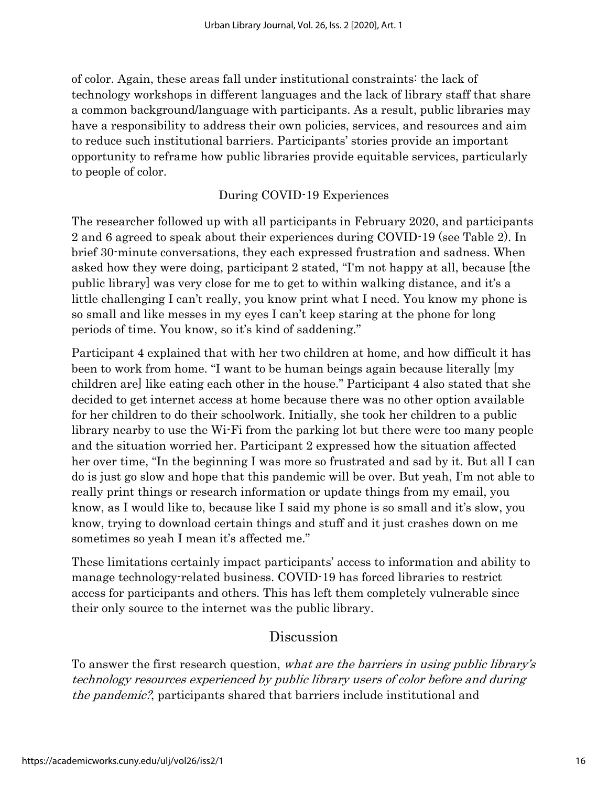of color. Again, these areas fall under institutional constraints: the lack of technology workshops in different languages and the lack of library staff that share a common background/language with participants. As a result, public libraries may have a responsibility to address their own policies, services, and resources and aim to reduce such institutional barriers. Participants' stories provide an important opportunity to reframe how public libraries provide equitable services, particularly to people of color.

#### During COVID-19 Experiences

The researcher followed up with all participants in February 2020, and participants 2 and 6 agreed to speak about their experiences during COVID-19 (see Table 2). In brief 30-minute conversations, they each expressed frustration and sadness. When asked how they were doing, participant 2 stated, "I'm not happy at all, because [the public library] was very close for me to get to within walking distance, and it's a little challenging I can't really, you know print what I need. You know my phone is so small and like messes in my eyes I can't keep staring at the phone for long periods of time. You know, so it's kind of saddening."

Participant 4 explained that with her two children at home, and how difficult it has been to work from home. "I want to be human beings again because literally [my children are] like eating each other in the house." Participant 4 also stated that she decided to get internet access at home because there was no other option available for her children to do their schoolwork. Initially, she took her children to a public library nearby to use the Wi-Fi from the parking lot but there were too many people and the situation worried her. Participant 2 expressed how the situation affected her over time, "In the beginning I was more so frustrated and sad by it. But all I can do is just go slow and hope that this pandemic will be over. But yeah, I'm not able to really print things or research information or update things from my email, you know, as I would like to, because like I said my phone is so small and it's slow, you know, trying to download certain things and stuff and it just crashes down on me sometimes so yeah I mean it's affected me."

These limitations certainly impact participants' access to information and ability to manage technology-related business. COVID-19 has forced libraries to restrict access for participants and others. This has left them completely vulnerable since their only source to the internet was the public library.

#### Discussion

To answer the first research question, what are the barriers in using public library's technology resources experienced by public library users of color before and during the pandemic?, participants shared that barriers include institutional and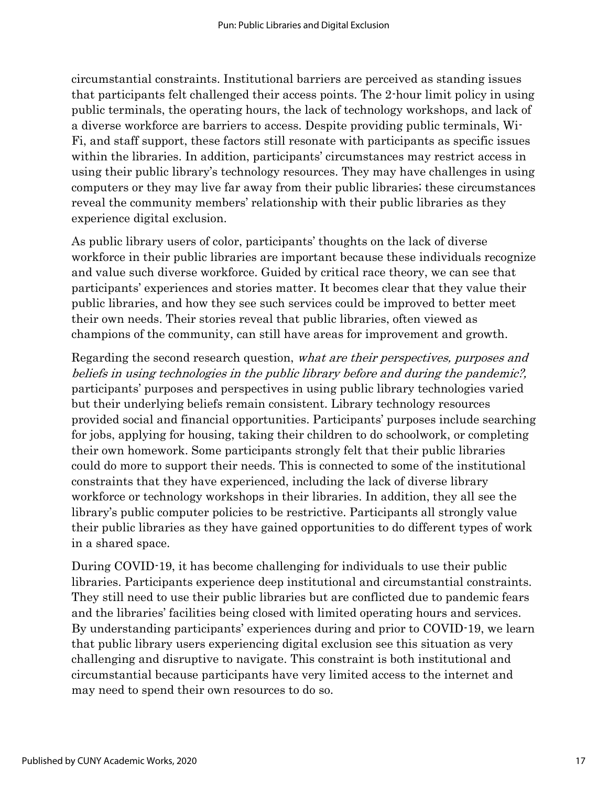circumstantial constraints. Institutional barriers are perceived as standing issues that participants felt challenged their access points. The 2-hour limit policy in using public terminals, the operating hours, the lack of technology workshops, and lack of a diverse workforce are barriers to access. Despite providing public terminals, Wi-Fi, and staff support, these factors still resonate with participants as specific issues within the libraries. In addition, participants' circumstances may restrict access in using their public library's technology resources. They may have challenges in using computers or they may live far away from their public libraries; these circumstances reveal the community members' relationship with their public libraries as they experience digital exclusion.

As public library users of color, participants' thoughts on the lack of diverse workforce in their public libraries are important because these individuals recognize and value such diverse workforce. Guided by critical race theory, we can see that participants' experiences and stories matter. It becomes clear that they value their public libraries, and how they see such services could be improved to better meet their own needs. Their stories reveal that public libraries, often viewed as champions of the community, can still have areas for improvement and growth.

Regarding the second research question, what are their perspectives, purposes and beliefs in using technologies in the public library before and during the pandemic?, participants' purposes and perspectives in using public library technologies varied but their underlying beliefs remain consistent. Library technology resources provided social and financial opportunities. Participants' purposes include searching for jobs, applying for housing, taking their children to do schoolwork, or completing their own homework. Some participants strongly felt that their public libraries could do more to support their needs. This is connected to some of the institutional constraints that they have experienced, including the lack of diverse library workforce or technology workshops in their libraries. In addition, they all see the library's public computer policies to be restrictive. Participants all strongly value their public libraries as they have gained opportunities to do different types of work in a shared space.

During COVID-19, it has become challenging for individuals to use their public libraries. Participants experience deep institutional and circumstantial constraints. They still need to use their public libraries but are conflicted due to pandemic fears and the libraries' facilities being closed with limited operating hours and services. By understanding participants' experiences during and prior to COVID-19, we learn that public library users experiencing digital exclusion see this situation as very challenging and disruptive to navigate. This constraint is both institutional and circumstantial because participants have very limited access to the internet and may need to spend their own resources to do so.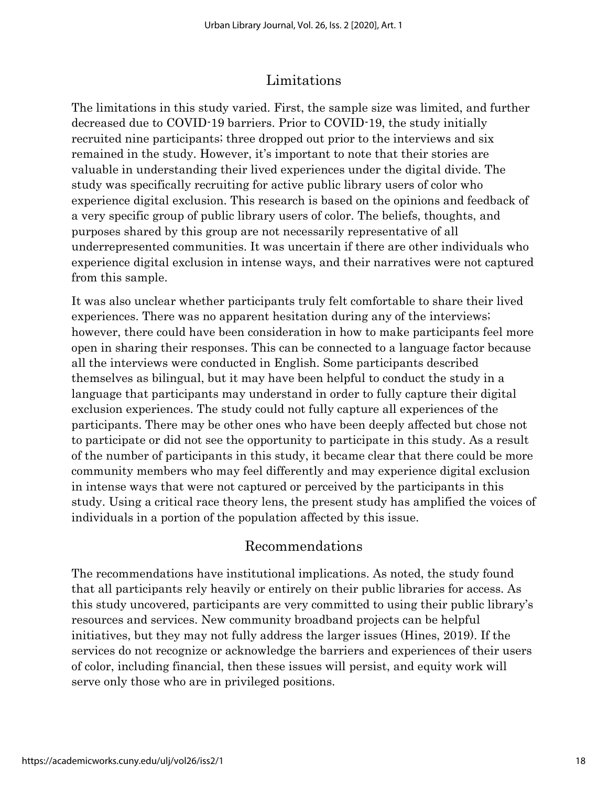## Limitations

The limitations in this study varied. First, the sample size was limited, and further decreased due to COVID-19 barriers. Prior to COVID-19, the study initially recruited nine participants; three dropped out prior to the interviews and six remained in the study. However, it's important to note that their stories are valuable in understanding their lived experiences under the digital divide. The study was specifically recruiting for active public library users of color who experience digital exclusion. This research is based on the opinions and feedback of a very specific group of public library users of color. The beliefs, thoughts, and purposes shared by this group are not necessarily representative of all underrepresented communities. It was uncertain if there are other individuals who experience digital exclusion in intense ways, and their narratives were not captured from this sample.

It was also unclear whether participants truly felt comfortable to share their lived experiences. There was no apparent hesitation during any of the interviews; however, there could have been consideration in how to make participants feel more open in sharing their responses. This can be connected to a language factor because all the interviews were conducted in English. Some participants described themselves as bilingual, but it may have been helpful to conduct the study in a language that participants may understand in order to fully capture their digital exclusion experiences. The study could not fully capture all experiences of the participants. There may be other ones who have been deeply affected but chose not to participate or did not see the opportunity to participate in this study. As a result of the number of participants in this study, it became clear that there could be more community members who may feel differently and may experience digital exclusion in intense ways that were not captured or perceived by the participants in this study. Using a critical race theory lens, the present study has amplified the voices of individuals in a portion of the population affected by this issue.

## Recommendations

The recommendations have institutional implications. As noted, the study found that all participants rely heavily or entirely on their public libraries for access. As this study uncovered, participants are very committed to using their public library's resources and services. New community broadband projects can be helpful initiatives, but they may not fully address the larger issues (Hines, 2019). If the services do not recognize or acknowledge the barriers and experiences of their users of color, including financial, then these issues will persist, and equity work will serve only those who are in privileged positions.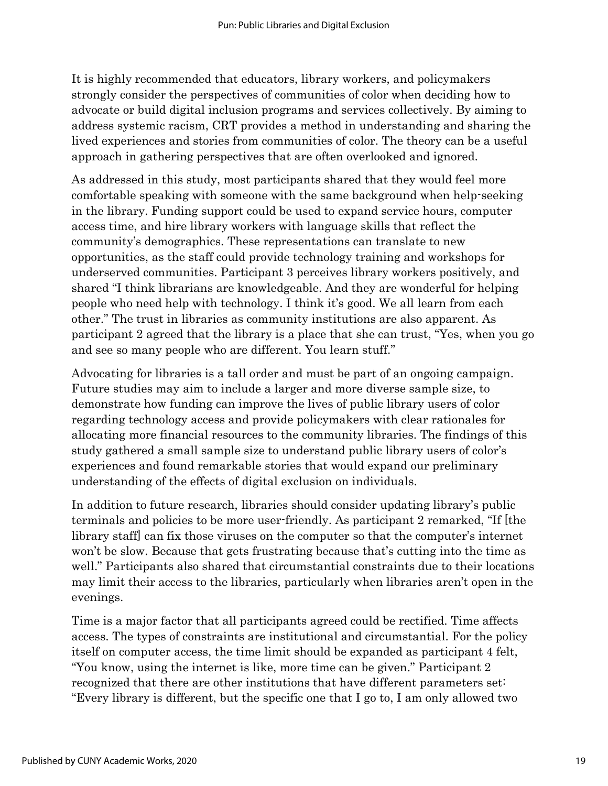It is highly recommended that educators, library workers, and policymakers strongly consider the perspectives of communities of color when deciding how to advocate or build digital inclusion programs and services collectively. By aiming to address systemic racism, CRT provides a method in understanding and sharing the lived experiences and stories from communities of color. The theory can be a useful approach in gathering perspectives that are often overlooked and ignored.

As addressed in this study, most participants shared that they would feel more comfortable speaking with someone with the same background when help-seeking in the library. Funding support could be used to expand service hours, computer access time, and hire library workers with language skills that reflect the community's demographics. These representations can translate to new opportunities, as the staff could provide technology training and workshops for underserved communities. Participant 3 perceives library workers positively, and shared "I think librarians are knowledgeable. And they are wonderful for helping people who need help with technology. I think it's good. We all learn from each other." The trust in libraries as community institutions are also apparent. As participant 2 agreed that the library is a place that she can trust, "Yes, when you go and see so many people who are different. You learn stuff."

Advocating for libraries is a tall order and must be part of an ongoing campaign. Future studies may aim to include a larger and more diverse sample size, to demonstrate how funding can improve the lives of public library users of color regarding technology access and provide policymakers with clear rationales for allocating more financial resources to the community libraries. The findings of this study gathered a small sample size to understand public library users of color's experiences and found remarkable stories that would expand our preliminary understanding of the effects of digital exclusion on individuals.

In addition to future research, libraries should consider updating library's public terminals and policies to be more user-friendly. As participant 2 remarked, "If [the library staff] can fix those viruses on the computer so that the computer's internet won't be slow. Because that gets frustrating because that's cutting into the time as well." Participants also shared that circumstantial constraints due to their locations may limit their access to the libraries, particularly when libraries aren't open in the evenings.

Time is a major factor that all participants agreed could be rectified. Time affects access. The types of constraints are institutional and circumstantial. For the policy itself on computer access, the time limit should be expanded as participant 4 felt, "You know, using the internet is like, more time can be given." Participant 2 recognized that there are other institutions that have different parameters set: "Every library is different, but the specific one that I go to, I am only allowed two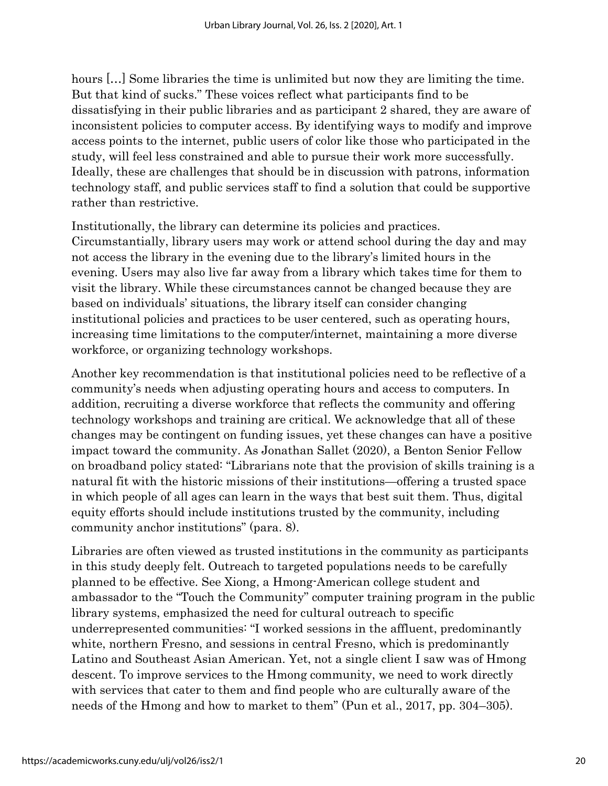hours […] Some libraries the time is unlimited but now they are limiting the time. But that kind of sucks." These voices reflect what participants find to be dissatisfying in their public libraries and as participant 2 shared, they are aware of inconsistent policies to computer access. By identifying ways to modify and improve access points to the internet, public users of color like those who participated in the study, will feel less constrained and able to pursue their work more successfully. Ideally, these are challenges that should be in discussion with patrons, information technology staff, and public services staff to find a solution that could be supportive rather than restrictive.

Institutionally, the library can determine its policies and practices. Circumstantially, library users may work or attend school during the day and may not access the library in the evening due to the library's limited hours in the evening. Users may also live far away from a library which takes time for them to visit the library. While these circumstances cannot be changed because they are based on individuals' situations, the library itself can consider changing institutional policies and practices to be user centered, such as operating hours, increasing time limitations to the computer/internet, maintaining a more diverse workforce, or organizing technology workshops.

Another key recommendation is that institutional policies need to be reflective of a community's needs when adjusting operating hours and access to computers. In addition, recruiting a diverse workforce that reflects the community and offering technology workshops and training are critical. We acknowledge that all of these changes may be contingent on funding issues, yet these changes can have a positive impact toward the community. As Jonathan Sallet (2020), a Benton Senior Fellow on broadband policy stated: "Librarians note that the provision of skills training is a natural fit with the historic missions of their institutions—offering a trusted space in which people of all ages can learn in the ways that best suit them. Thus, digital equity efforts should include institutions trusted by the community, including community anchor institutions" (para. 8).

Libraries are often viewed as trusted institutions in the community as participants in this study deeply felt. Outreach to targeted populations needs to be carefully planned to be effective. See Xiong, a Hmong-American college student and ambassador to the "Touch the Community" computer training program in the public library systems, emphasized the need for cultural outreach to specific underrepresented communities: "I worked sessions in the affluent, predominantly white, northern Fresno, and sessions in central Fresno, which is predominantly Latino and Southeast Asian American. Yet, not a single client I saw was of Hmong descent. To improve services to the Hmong community, we need to work directly with services that cater to them and find people who are culturally aware of the needs of the Hmong and how to market to them" (Pun et al., 2017, pp. 304–305).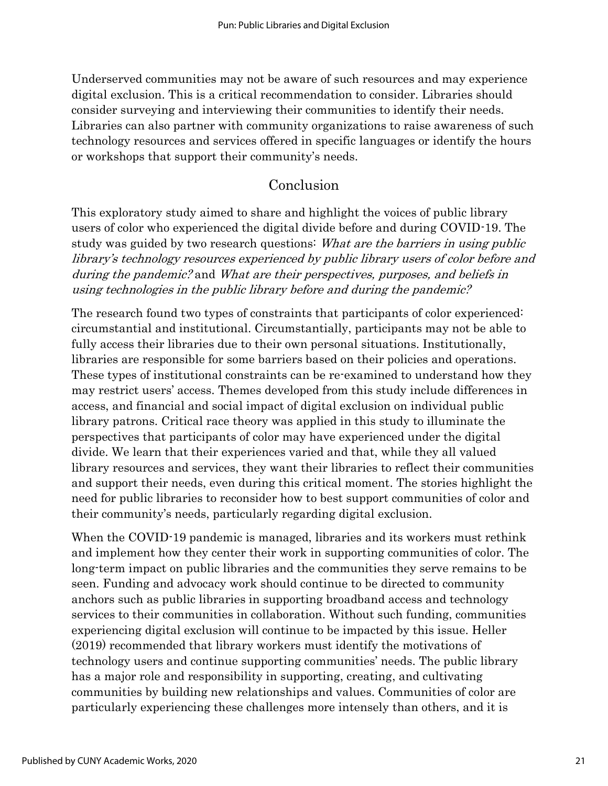Underserved communities may not be aware of such resources and may experience digital exclusion. This is a critical recommendation to consider. Libraries should consider surveying and interviewing their communities to identify their needs. Libraries can also partner with community organizations to raise awareness of such technology resources and services offered in specific languages or identify the hours or workshops that support their community's needs.

#### Conclusion

This exploratory study aimed to share and highlight the voices of public library users of color who experienced the digital divide before and during COVID-19. The study was guided by two research questions: What are the barriers in using public library's technology resources experienced by public library users of color before and during the pandemic? and What are their perspectives, purposes, and beliefs in using technologies in the public library before and during the pandemic?

The research found two types of constraints that participants of color experienced: circumstantial and institutional. Circumstantially, participants may not be able to fully access their libraries due to their own personal situations. Institutionally, libraries are responsible for some barriers based on their policies and operations. These types of institutional constraints can be re-examined to understand how they may restrict users' access. Themes developed from this study include differences in access, and financial and social impact of digital exclusion on individual public library patrons. Critical race theory was applied in this study to illuminate the perspectives that participants of color may have experienced under the digital divide. We learn that their experiences varied and that, while they all valued library resources and services, they want their libraries to reflect their communities and support their needs, even during this critical moment. The stories highlight the need for public libraries to reconsider how to best support communities of color and their community's needs, particularly regarding digital exclusion.

When the COVID-19 pandemic is managed, libraries and its workers must rethink and implement how they center their work in supporting communities of color. The long-term impact on public libraries and the communities they serve remains to be seen. Funding and advocacy work should continue to be directed to community anchors such as public libraries in supporting broadband access and technology services to their communities in collaboration. Without such funding, communities experiencing digital exclusion will continue to be impacted by this issue. Heller (2019) recommended that library workers must identify the motivations of technology users and continue supporting communities' needs. The public library has a major role and responsibility in supporting, creating, and cultivating communities by building new relationships and values. Communities of color are particularly experiencing these challenges more intensely than others, and it is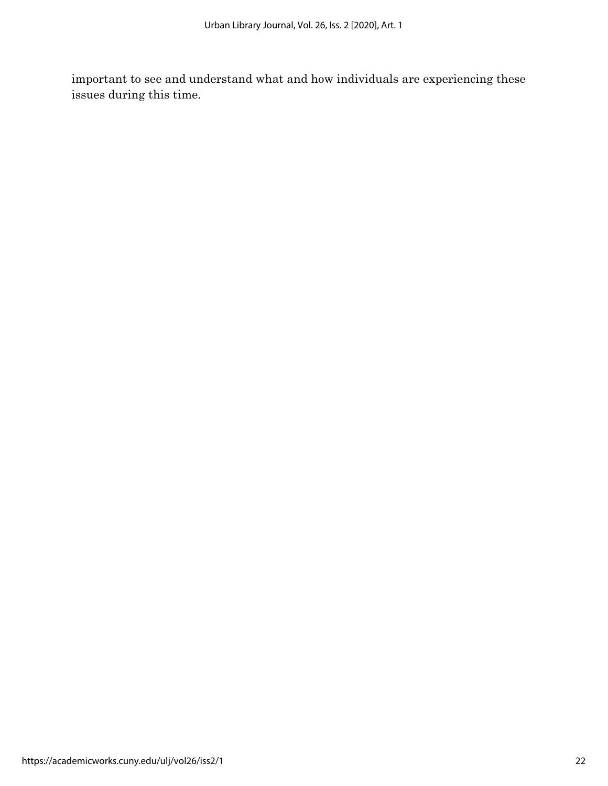important to see and understand what and how individuals are experiencing these issues during this time.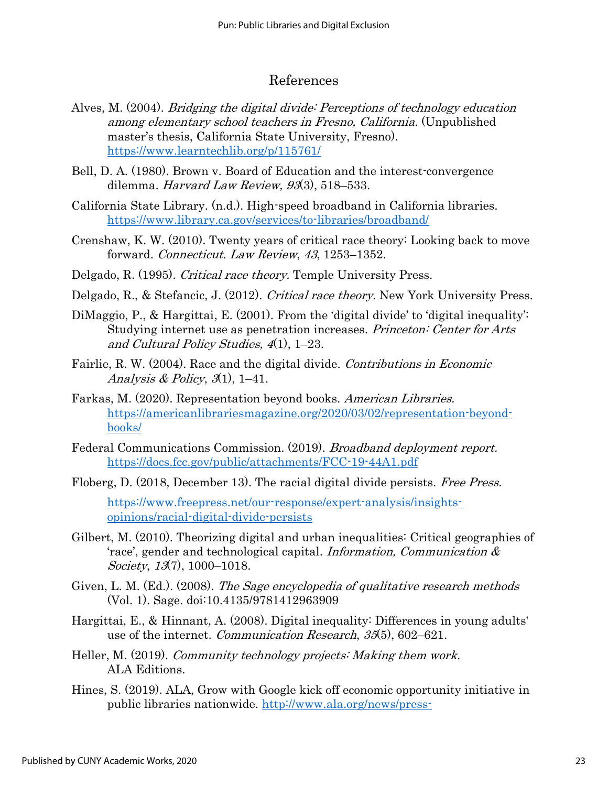#### References

- Alves, M. (2004). Bridging the digital divide: Perceptions of technology education among elementary school teachers in Fresno, California. (Unpublished master's thesis, California State University, Fresno). <https://www.learntechlib.org/p/115761/>
- Bell, D. A. (1980). Brown v. Board of Education and the interest-convergence dilemma. Harvard Law Review,  $93(3)$ , 518–533.
- California State Library. (n.d.). High-speed broadband in California libraries. <https://www.library.ca.gov/services/to-libraries/broadband/>
- Crenshaw, K. W. (2010). Twenty years of critical race theory: Looking back to move forward. Connecticut. Law Review, 43, 1253-1352.
- Delgado, R. (1995). Critical race theory. Temple University Press.
- Delgado, R., & Stefancic, J. (2012). Critical race theory. New York University Press.
- DiMaggio, P., & Hargittai, E. (2001). From the 'digital divide' to 'digital inequality': Studying internet use as penetration increases. *Princeton: Center for Arts* and Cultural Policy Studies, 4(1), 1–23.
- Fairlie, R. W. (2004). Race and the digital divide. Contributions in Economic Analysis & Policy,  $3(1)$ , 1–41.
- Farkas, M. (2020). Representation beyond books. American Libraries. [https://americanlibrariesmagazine.org/2020/03/02/representation-beyond](https://americanlibrariesmagazine.org/2020/03/02/representation-beyond-books/)[books/](https://americanlibrariesmagazine.org/2020/03/02/representation-beyond-books/)
- Federal Communications Commission. (2019). Broadband deployment report. <https://docs.fcc.gov/public/attachments/FCC-19-44A1.pdf>
- Floberg, D. (2018, December 13). The racial digital divide persists. Free Press.

[https://www.freepress.net/our-response/expert-analysis/insights](https://www.freepress.net/our-response/expert-analysis/insights-opinions/racial-digital-divide-persists)[opinions/racial-digital-divide-persists](https://www.freepress.net/our-response/expert-analysis/insights-opinions/racial-digital-divide-persists)

- Gilbert, M. (2010). Theorizing digital and urban inequalities: Critical geographies of 'race', gender and technological capital. Information, Communication  $\&$ Society, 13(7), 1000–1018.
- Given, L. M. (Ed.). (2008). The Sage encyclopedia of qualitative research methods (Vol. 1). Sage. doi:10.4135/9781412963909
- Hargittai, E., & Hinnant, A. (2008). Digital inequality: Differences in young adults' use of the internet. Communication Research, 35(5), 602–621.
- Heller, M. (2019). Community technology projects: Making them work. ALA Editions.
- Hines, S. (2019). ALA, Grow with Google kick off economic opportunity initiative in public libraries nationwide. [http://www.ala.org/news/press-](http://www.ala.org/news/press-releases/2019/01/ala-grow-google-kick-economic-opportunity-initiative-public-libraries)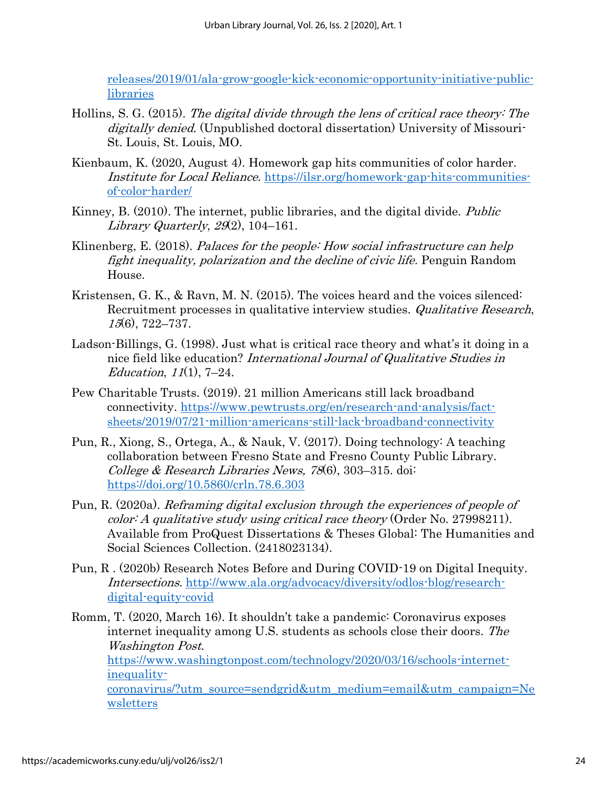[releases/2019/01/ala-grow-google-kick-economic-opportunity-initiative-public](http://www.ala.org/news/press-releases/2019/01/ala-grow-google-kick-economic-opportunity-initiative-public-libraries)[libraries](http://www.ala.org/news/press-releases/2019/01/ala-grow-google-kick-economic-opportunity-initiative-public-libraries)

- Hollins, S. G. (2015). The digital divide through the lens of critical race theory: The digitally denied. (Unpublished doctoral dissertation) University of Missouri-St. Louis, St. Louis, MO.
- Kienbaum, K. (2020, August 4). Homework gap hits communities of color harder. Institute for Local Reliance. [https://ilsr.org/homework-gap-hits-communities](https://ilsr.org/homework-gap-hits-communities-of-color-harder/)[of-color-harder/](https://ilsr.org/homework-gap-hits-communities-of-color-harder/)
- Kinney, B. (2010). The internet, public libraries, and the digital divide. Public Library Quarterly,  $29(2)$ , 104–161.
- Klinenberg, E. (2018). *Palaces for the people: How social infrastructure can help* fight inequality, polarization and the decline of civic life. Penguin Random House.
- Kristensen, G. K., & Ravn, M. N. (2015). The voices heard and the voices silenced: Recruitment processes in qualitative interview studies. Qualitative Research, 15(6), 722–737.
- Ladson-Billings, G. (1998). Just what is critical race theory and what's it doing in a nice field like education? International Journal of Qualitative Studies in Education,  $11(1)$ ,  $7-24$ .
- Pew Charitable Trusts. (2019). 21 million Americans still lack broadband connectivity. [https://www.pewtrusts.org/en/research-and-analysis/fact](https://www.pewtrusts.org/en/research-and-analysis/fact-sheets/2019/07/21-million-americans-still-lack-broadband-connectivity)[sheets/2019/07/21-million-americans-still-lack-broadband-connectivity](https://www.pewtrusts.org/en/research-and-analysis/fact-sheets/2019/07/21-million-americans-still-lack-broadband-connectivity)
- Pun, R., Xiong, S., Ortega, A., & Nauk, V. (2017). Doing technology: A teaching collaboration between Fresno State and Fresno County Public Library. College & Research Libraries News,  $78(6)$ , 303-315. doi: <https://doi.org/10.5860/crln.78.6.303>
- Pun, R. (2020a). Reframing digital exclusion through the experiences of people of color: A qualitative study using critical race theory (Order No. 27998211). Available from ProQuest Dissertations & Theses Global: The Humanities and Social Sciences Collection. (2418023134).
- Pun, R . (2020b) Research Notes Before and During COVID-19 on Digital Inequity. Intersections. [http://www.ala.org/advocacy/diversity/odlos-blog/research](http://www.ala.org/advocacy/diversity/odlos-blog/research-digital-equity-covid)[digital-equity-covid](http://www.ala.org/advocacy/diversity/odlos-blog/research-digital-equity-covid)
- Romm, T. (2020, March 16). It shouldn't take a pandemic: Coronavirus exposes internet inequality among U.S. students as schools close their doors. The Washington Post. [https://www.washingtonpost.com/technology/2020/03/16/schools-internet](https://www.washingtonpost.com/technology/2020/03/16/schools-internet-inequality-coronavirus/?utm_source=sendgrid&utm_medium=email&utm_campaign=Newsletters)[inequality](https://www.washingtonpost.com/technology/2020/03/16/schools-internet-inequality-coronavirus/?utm_source=sendgrid&utm_medium=email&utm_campaign=Newsletters)[coronavirus/?utm\\_source=sendgrid&utm\\_medium=email&utm\\_campaign=Ne](https://www.washingtonpost.com/technology/2020/03/16/schools-internet-inequality-coronavirus/?utm_source=sendgrid&utm_medium=email&utm_campaign=Newsletters) [wsletters](https://www.washingtonpost.com/technology/2020/03/16/schools-internet-inequality-coronavirus/?utm_source=sendgrid&utm_medium=email&utm_campaign=Newsletters)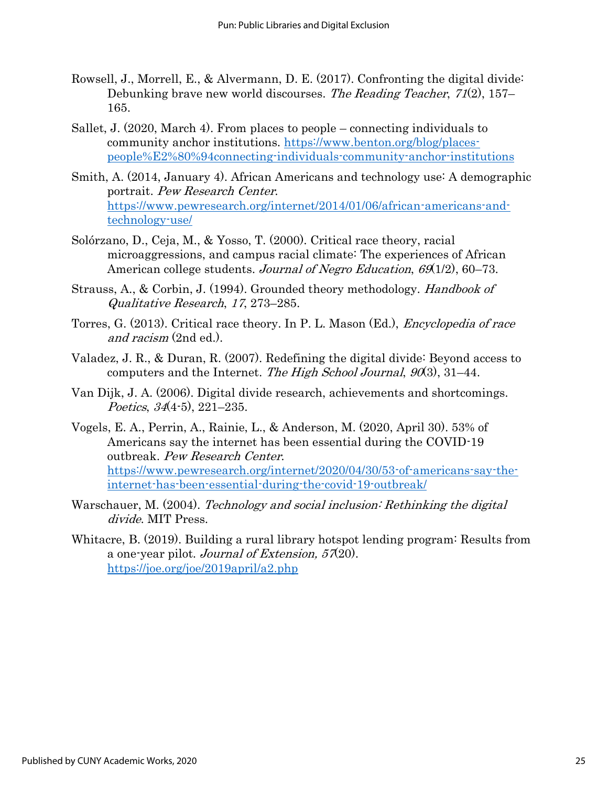- Rowsell, J., Morrell, E., & Alvermann, D. E. (2017). Confronting the digital divide: Debunking brave new world discourses. The Reading Teacher, 71(2), 157– 165.
- Sallet, J. (2020, March 4). From places to people connecting individuals to community anchor institutions. [https://www.benton.org/blog/places](https://www.benton.org/blog/places-people%E2%80%94connecting-individuals-community-anchor-institutions)[people%E2%80%94connecting-individuals-community-anchor-institutions](https://www.benton.org/blog/places-people%E2%80%94connecting-individuals-community-anchor-institutions)
- Smith, A. (2014, January 4). African Americans and technology use: A demographic portrait. Pew Research Center. [https://www.pewresearch.org/internet/2014/01/06/african-americans-and](https://www.pewresearch.org/internet/2014/01/06/african-americans-and-technology-use/)[technology-use/](https://www.pewresearch.org/internet/2014/01/06/african-americans-and-technology-use/)
- Solórzano, D., Ceja, M., & Yosso, T. (2000). Critical race theory, racial microaggressions, and campus racial climate: The experiences of African American college students. Journal of Negro Education, 69(1/2), 60–73.
- Strauss, A., & Corbin, J. (1994). Grounded theory methodology. Handbook of Qualitative Research, 17, 273–285.
- Torres, G. (2013). Critical race theory. In P. L. Mason (Ed.), Encyclopedia of race and racism (2nd ed.).
- Valadez, J. R., & Duran, R. (2007). Redefining the digital divide: Beyond access to computers and the Internet. The High School Journal,  $90(3)$ , 31–44.
- Van Dijk, J. A. (2006). Digital divide research, achievements and shortcomings. Poetics, 34(4-5), 221–235.
- Vogels, E. A., Perrin, A., Rainie, L., & Anderson, M. (2020, April 30). 53% of Americans say the internet has been essential during the COVID-19 outbreak. Pew Research Center. [https://www.pewresearch.org/internet/2020/04/30/53-of-americans-say-the](https://www.pewresearch.org/internet/2020/04/30/53-of-americans-say-the-internet-has-been-essential-during-the-covid-19-outbreak/)[internet-has-been-essential-during-the-covid-19-outbreak/](https://www.pewresearch.org/internet/2020/04/30/53-of-americans-say-the-internet-has-been-essential-during-the-covid-19-outbreak/)
- Warschauer, M. (2004). Technology and social inclusion: Rethinking the digital divide. MIT Press.
- Whitacre, B. (2019). Building a rural library hotspot lending program: Results from a one-year pilot. Journal of Extension,  $57(20)$ . <https://joe.org/joe/2019april/a2.php>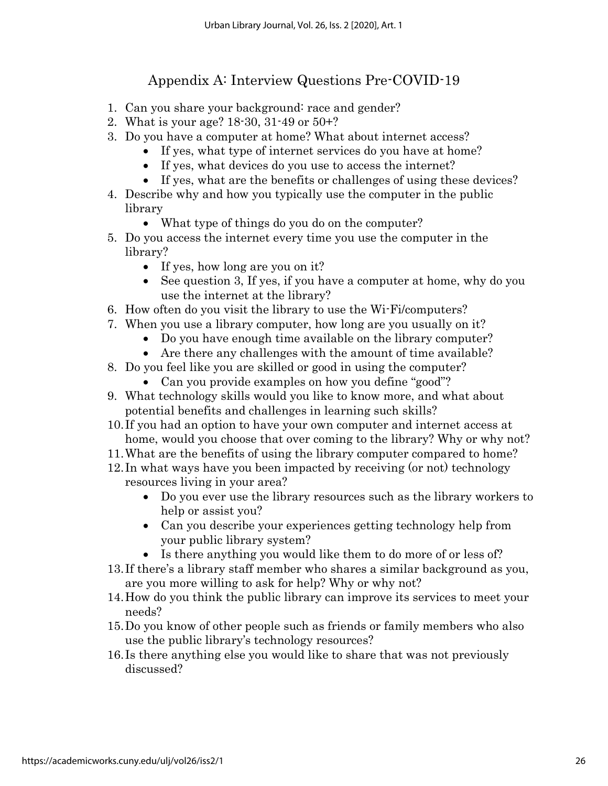## Appendix A: Interview Questions Pre-COVID-19

- 1. Can you share your background: race and gender?
- 2. What is your age? 18-30, 31-49 or 50+?
- 3. Do you have a computer at home? What about internet access?
	- If yes, what type of internet services do you have at home?
	- If yes, what devices do you use to access the internet?
	- If yes, what are the benefits or challenges of using these devices?
- 4. Describe why and how you typically use the computer in the public library
	- What type of things do you do on the computer?
- 5. Do you access the internet every time you use the computer in the library?
	- If yes, how long are you on it?
	- See question 3, If yes, if you have a computer at home, why do you use the internet at the library?
- 6. How often do you visit the library to use the Wi-Fi/computers?
- 7. When you use a library computer, how long are you usually on it?
	- Do you have enough time available on the library computer?
	- Are there any challenges with the amount of time available?
- 8. Do you feel like you are skilled or good in using the computer?
	- Can you provide examples on how you define "good"?
- 9. What technology skills would you like to know more, and what about potential benefits and challenges in learning such skills?
- 10. If you had an option to have your own computer and internet access at home, would you choose that over coming to the library? Why or why not?
- 11.What are the benefits of using the library computer compared to home?
- 12. In what ways have you been impacted by receiving (or not) technology resources living in your area?
	- Do you ever use the library resources such as the library workers to help or assist you?
	- Can you describe your experiences getting technology help from your public library system?
	- Is there anything you would like them to do more of or less of?
- 13. If there's a library staff member who shares a similar background as you, are you more willing to ask for help? Why or why not?
- 14.How do you think the public library can improve its services to meet your needs?
- 15.Do you know of other people such as friends or family members who also use the public library's technology resources?
- 16. Is there anything else you would like to share that was not previously discussed?